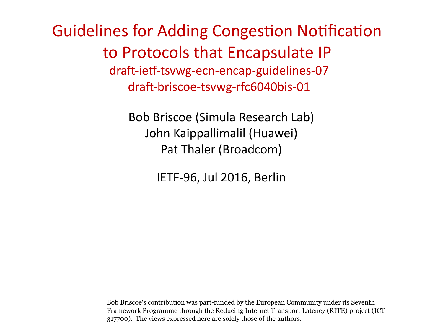Guidelines for Adding Congestion Notification to Protocols that Encapsulate IP draft-ietf-tsvwg-ecn-encap-guidelines-07 draft-briscoe-tsvwg-rfc6040bis-01

> Bob Briscoe (Simula Research Lab) John Kaippallimalil (Huawei) Pat Thaler (Broadcom)

> > IETF-96, Jul 2016, Berlin

Bob Briscoe's contribution was part-funded by the European Community under its Seventh Framework Programme through the Reducing Internet Transport Latency (RITE) project (ICT-317700). The views expressed here are solely those of the authors.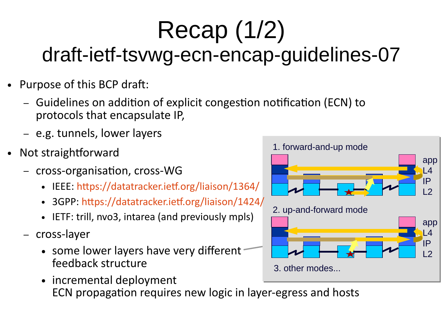### Recap (1/2) draft-ietf-tsvwg-ecn-encap-guidelines-07

- Purpose of this BCP draft:
	- Guidelines on addition of explicit congestion notification (ECN) to protocols that encapsulate IP,
	- e.g. tunnels, lower layers
- Not straightforward
	- cross-organisation, cross-WG
		- IEEE: <https://datatracker.ietf.org/liaison/1364/>
		- 3GPP: <https://datatracker.ietf.org/liaison/1424/>
		- IETF: trill, nvo3, intarea (and previously mpls)
	- cross-layer
		- some lower layers have very different feedback structure
		- incremental deployment ECN propagation requires new logic in layer-egress and hosts

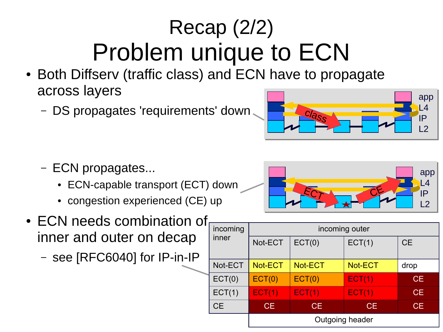### Recap (2/2) Problem unique to ECN

- Both Diffserv (traffic class) and ECN have to propagate across layers
	- DS propagates 'requirements' down



- ECN propagates...
	- ECN-capable transport (ECT) down
	- congestion experienced (CE) up
- ECN needs combination of inner and outer on decap
	- see [RFC6040] for IP-in-IP



| incoming outer |           |           |                 |
|----------------|-----------|-----------|-----------------|
| Not-ECT        | ECT(0)    | ECT(1)    | <b>CE</b>       |
|                |           |           |                 |
| Not-ECT        | Not-ECT   | Not-ECT   | drop            |
| ECT(0)         | ECT(0)    | ECT(1)    | <b>CE</b>       |
| ECT(1)         | ECT(1)    | ECT(1)    | CE.             |
| CE             | <b>CE</b> | <b>CE</b> | CE              |
|                |           |           |                 |
|                |           |           | Outgoing header |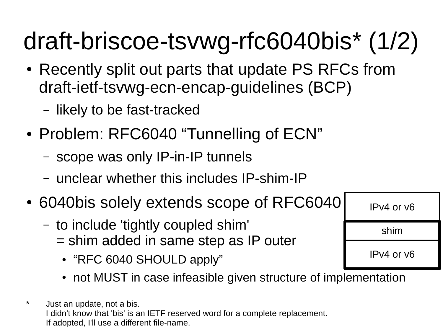# draft-briscoe-tsvwg-rfc6040bis\* (1/2)

- Recently split out parts that update PS RFCs from draft-ietf-tsvwg-ecn-encap-guidelines (BCP)
	- likely to be fast-tracked
- Problem: RFC6040 "Tunnelling of ECN"
	- scope was only IP-in-IP tunnels
	- unclear whether this includes IP-shim-IP
- 6040bis solely extends scope of RFC6040
	- to include 'tightly coupled shim'
		- = shim added in same step as IP outer
			- "RFC 6040 SHOULD apply"

 $\overline{a}$ 

• not MUST in case infeasible given structure of implementation

| IPv4 or v6 |
|------------|
| shim       |
| IPv4 or v6 |

<sup>\*</sup> Just an update, not a bis. I didn't know that 'bis' is an IETF reserved word for a complete replacement. If adopted, I'll use a different file-name.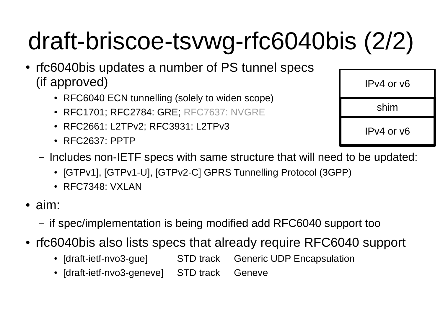# draft-briscoe-tsvwg-rfc6040bis (2/2)

- rfc6040bis updates a number of PS tunnel specs (if approved)
	- RFC6040 ECN tunnelling (solely to widen scope)
	- RFC1701; RFC2784: GRE; RFC7637: NVGRE
	- RFC2661: L2TPv2; RFC3931: L2TPv3
	- RFC2637: PPTP
	- Includes non-IETF specs with same structure that will need to be updated:
		- [GTPv1], [GTPv1-U], [GTPv2-C] GPRS Tunnelling Protocol (3GPP)
		- $\cdot$  RFC7348: VXLAN
- $\cdot$  aim:
	- if spec/implementation is being modified add RFC6040 support too
- rfc6040bis also lists specs that already require RFC6040 support
	- [draft-ietf-nvo3-gue] STD track Generic UDP Encapsulation
	- [draft-ietf-nvo3-geneve] STD track Geneve

| IPv4 or y6 |
|------------|
| shim       |
| IPv4 or y6 |